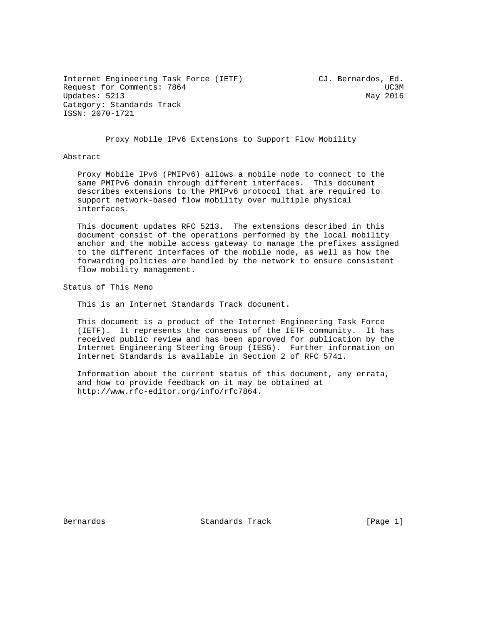Internet Engineering Task Force (IETF) CJ. Bernardos, Ed. Request for Comments: 7864 UC3M Updates: 5213 May 2016 Category: Standards Track ISSN: 2070-1721

Proxy Mobile IPv6 Extensions to Support Flow Mobility

Abstract

 Proxy Mobile IPv6 (PMIPv6) allows a mobile node to connect to the same PMIPv6 domain through different interfaces. This document describes extensions to the PMIPv6 protocol that are required to support network-based flow mobility over multiple physical interfaces.

 This document updates RFC 5213. The extensions described in this document consist of the operations performed by the local mobility anchor and the mobile access gateway to manage the prefixes assigned to the different interfaces of the mobile node, as well as how the forwarding policies are handled by the network to ensure consistent flow mobility management.

Status of This Memo

This is an Internet Standards Track document.

 This document is a product of the Internet Engineering Task Force (IETF). It represents the consensus of the IETF community. It has received public review and has been approved for publication by the Internet Engineering Steering Group (IESG). Further information on Internet Standards is available in Section 2 of RFC 5741.

 Information about the current status of this document, any errata, and how to provide feedback on it may be obtained at http://www.rfc-editor.org/info/rfc7864.

Bernardos Standards Track [Page 1]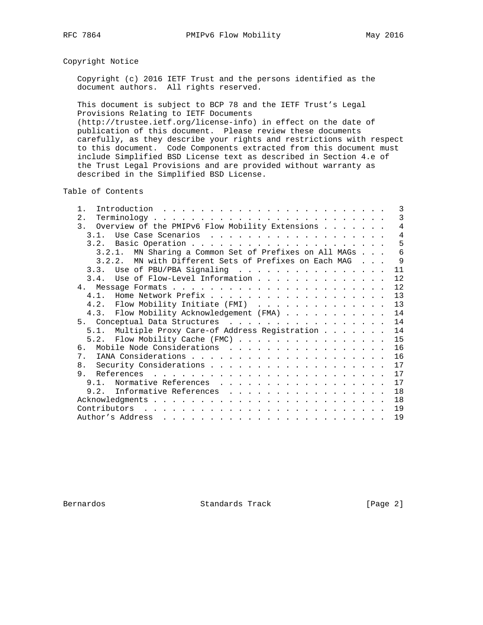# Copyright Notice

 Copyright (c) 2016 IETF Trust and the persons identified as the document authors. All rights reserved.

 This document is subject to BCP 78 and the IETF Trust's Legal Provisions Relating to IETF Documents (http://trustee.ietf.org/license-info) in effect on the date of publication of this document. Please review these documents carefully, as they describe your rights and restrictions with respect to this document. Code Components extracted from this document must include Simplified BSD License text as described in Section 4.e of the Trust Legal Provisions and are provided without warranty as

described in the Simplified BSD License.

Table of Contents

| Introduction $\ldots \ldots \ldots \ldots \ldots \ldots \ldots \ldots$<br>$\mathbf{1}$ |  | 3              |
|----------------------------------------------------------------------------------------|--|----------------|
| 2.1                                                                                    |  | $\mathcal{E}$  |
| 3. Overview of the PMIPv6 Flow Mobility Extensions                                     |  | $\overline{4}$ |
| 3.1.                                                                                   |  | $\overline{4}$ |
|                                                                                        |  | 5              |
| 3.2.1. MN Sharing a Common Set of Prefixes on All MAGs                                 |  | 6              |
| 3.2.2. MN with Different Sets of Prefixes on Each MAG                                  |  | 9              |
| 3.3. Use of PBU/PBA Signaling                                                          |  | 11             |
| 3.4. Use of Flow-Level Information                                                     |  | 12             |
|                                                                                        |  | 12             |
|                                                                                        |  | 13             |
| 4.2. Flow Mobility Initiate (FMI)                                                      |  | 13             |
| 4.3. Flow Mobility Acknowledgement (FMA)                                               |  | 14             |
| 5. Conceptual Data Structures                                                          |  | 14             |
| Multiple Proxy Care-of Address Registration<br>5.1.                                    |  | 14             |
| 5.2. Flow Mobility Cache (FMC)                                                         |  | 15             |
| რ —                                                                                    |  | 16             |
| $7$ .                                                                                  |  | 16             |
| 8.                                                                                     |  | 17             |
|                                                                                        |  | 17             |
| 9.1. Normative References                                                              |  | 17             |
| 9.2. Informative References                                                            |  | 18             |
|                                                                                        |  | 18             |
| Contributors                                                                           |  | 19             |
|                                                                                        |  | 19             |

Bernardos Standards Track [Page 2]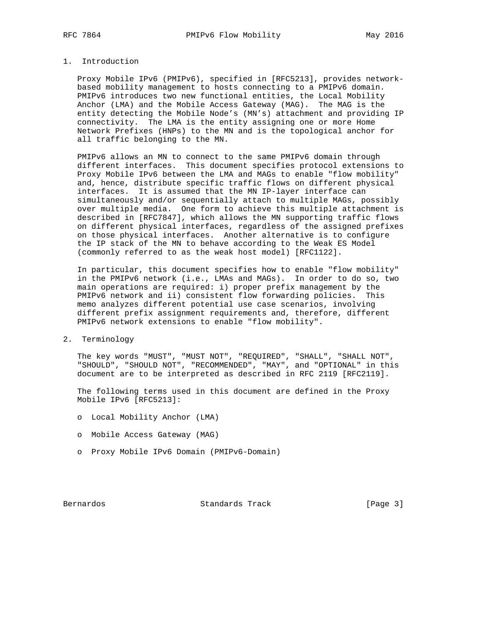# 1. Introduction

 Proxy Mobile IPv6 (PMIPv6), specified in [RFC5213], provides network based mobility management to hosts connecting to a PMIPv6 domain. PMIPv6 introduces two new functional entities, the Local Mobility Anchor (LMA) and the Mobile Access Gateway (MAG). The MAG is the entity detecting the Mobile Node's (MN's) attachment and providing IP connectivity. The LMA is the entity assigning one or more Home Network Prefixes (HNPs) to the MN and is the topological anchor for all traffic belonging to the MN.

 PMIPv6 allows an MN to connect to the same PMIPv6 domain through different interfaces. This document specifies protocol extensions to Proxy Mobile IPv6 between the LMA and MAGs to enable "flow mobility" and, hence, distribute specific traffic flows on different physical interfaces. It is assumed that the MN IP-layer interface can simultaneously and/or sequentially attach to multiple MAGs, possibly over multiple media. One form to achieve this multiple attachment is described in [RFC7847], which allows the MN supporting traffic flows on different physical interfaces, regardless of the assigned prefixes on those physical interfaces. Another alternative is to configure the IP stack of the MN to behave according to the Weak ES Model (commonly referred to as the weak host model) [RFC1122].

 In particular, this document specifies how to enable "flow mobility" in the PMIPv6 network (i.e., LMAs and MAGs). In order to do so, two main operations are required: i) proper prefix management by the PMIPv6 network and ii) consistent flow forwarding policies. This memo analyzes different potential use case scenarios, involving different prefix assignment requirements and, therefore, different PMIPv6 network extensions to enable "flow mobility".

2. Terminology

 The key words "MUST", "MUST NOT", "REQUIRED", "SHALL", "SHALL NOT", "SHOULD", "SHOULD NOT", "RECOMMENDED", "MAY", and "OPTIONAL" in this document are to be interpreted as described in RFC 2119 [RFC2119].

 The following terms used in this document are defined in the Proxy Mobile IPv6 [RFC5213]:

- o Local Mobility Anchor (LMA)
- o Mobile Access Gateway (MAG)
- o Proxy Mobile IPv6 Domain (PMIPv6-Domain)

Bernardos Standards Track [Page 3]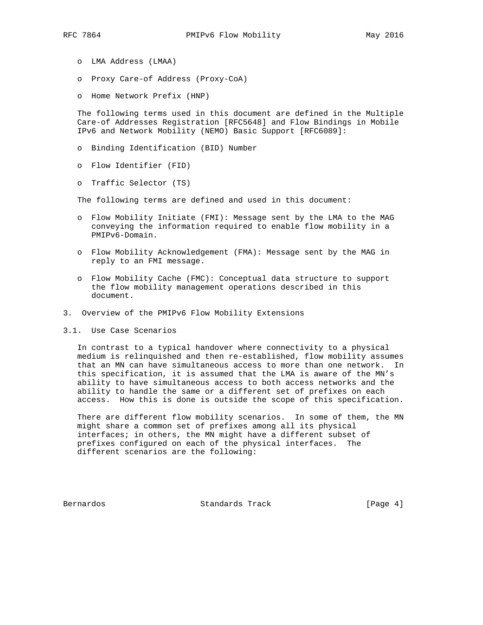- o LMA Address (LMAA)
- o Proxy Care-of Address (Proxy-CoA)
- o Home Network Prefix (HNP)

 The following terms used in this document are defined in the Multiple Care-of Addresses Registration [RFC5648] and Flow Bindings in Mobile IPv6 and Network Mobility (NEMO) Basic Support [RFC6089]:

- o Binding Identification (BID) Number
- o Flow Identifier (FID)
- o Traffic Selector (TS)

The following terms are defined and used in this document:

- o Flow Mobility Initiate (FMI): Message sent by the LMA to the MAG conveying the information required to enable flow mobility in a PMIPv6-Domain.
- o Flow Mobility Acknowledgement (FMA): Message sent by the MAG in reply to an FMI message.
- o Flow Mobility Cache (FMC): Conceptual data structure to support the flow mobility management operations described in this document.
- 3. Overview of the PMIPv6 Flow Mobility Extensions
- 3.1. Use Case Scenarios

 In contrast to a typical handover where connectivity to a physical medium is relinquished and then re-established, flow mobility assumes that an MN can have simultaneous access to more than one network. In this specification, it is assumed that the LMA is aware of the MN's ability to have simultaneous access to both access networks and the ability to handle the same or a different set of prefixes on each access. How this is done is outside the scope of this specification.

 There are different flow mobility scenarios. In some of them, the MN might share a common set of prefixes among all its physical interfaces; in others, the MN might have a different subset of prefixes configured on each of the physical interfaces. The different scenarios are the following:

Bernardos Standards Track [Page 4]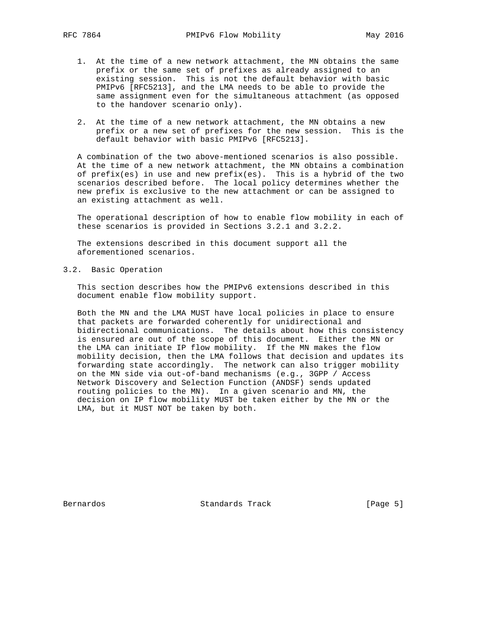- 1. At the time of a new network attachment, the MN obtains the same prefix or the same set of prefixes as already assigned to an existing session. This is not the default behavior with basic PMIPv6 [RFC5213], and the LMA needs to be able to provide the same assignment even for the simultaneous attachment (as opposed to the handover scenario only).
- 2. At the time of a new network attachment, the MN obtains a new prefix or a new set of prefixes for the new session. This is the default behavior with basic PMIPv6 [RFC5213].

 A combination of the two above-mentioned scenarios is also possible. At the time of a new network attachment, the MN obtains a combination of  $prefix(es)$  in use and new  $prefix(es)$ . This is a hybrid of the two scenarios described before. The local policy determines whether the new prefix is exclusive to the new attachment or can be assigned to an existing attachment as well.

 The operational description of how to enable flow mobility in each of these scenarios is provided in Sections 3.2.1 and 3.2.2.

 The extensions described in this document support all the aforementioned scenarios.

3.2. Basic Operation

 This section describes how the PMIPv6 extensions described in this document enable flow mobility support.

 Both the MN and the LMA MUST have local policies in place to ensure that packets are forwarded coherently for unidirectional and bidirectional communications. The details about how this consistency is ensured are out of the scope of this document. Either the MN or the LMA can initiate IP flow mobility. If the MN makes the flow mobility decision, then the LMA follows that decision and updates its forwarding state accordingly. The network can also trigger mobility on the MN side via out-of-band mechanisms (e.g., 3GPP / Access Network Discovery and Selection Function (ANDSF) sends updated routing policies to the MN). In a given scenario and MN, the decision on IP flow mobility MUST be taken either by the MN or the LMA, but it MUST NOT be taken by both.

Bernardos Standards Track [Page 5]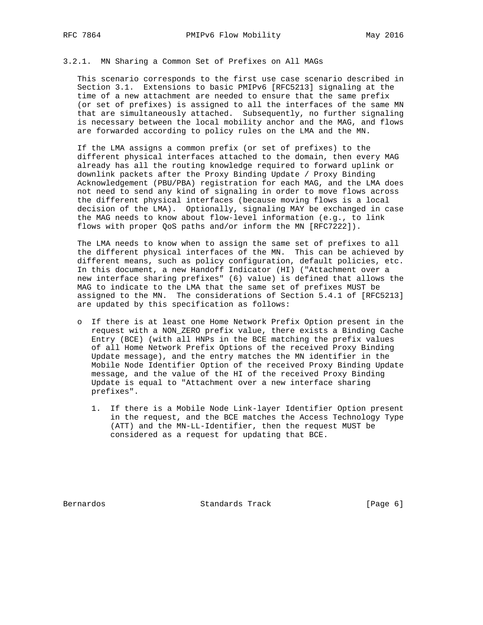# 3.2.1. MN Sharing a Common Set of Prefixes on All MAGs

 This scenario corresponds to the first use case scenario described in Section 3.1. Extensions to basic PMIPv6 [RFC5213] signaling at the time of a new attachment are needed to ensure that the same prefix (or set of prefixes) is assigned to all the interfaces of the same MN that are simultaneously attached. Subsequently, no further signaling is necessary between the local mobility anchor and the MAG, and flows are forwarded according to policy rules on the LMA and the MN.

 If the LMA assigns a common prefix (or set of prefixes) to the different physical interfaces attached to the domain, then every MAG already has all the routing knowledge required to forward uplink or downlink packets after the Proxy Binding Update / Proxy Binding Acknowledgement (PBU/PBA) registration for each MAG, and the LMA does not need to send any kind of signaling in order to move flows across the different physical interfaces (because moving flows is a local decision of the LMA). Optionally, signaling MAY be exchanged in case the MAG needs to know about flow-level information (e.g., to link flows with proper QoS paths and/or inform the MN [RFC7222]).

 The LMA needs to know when to assign the same set of prefixes to all the different physical interfaces of the MN. This can be achieved by different means, such as policy configuration, default policies, etc. In this document, a new Handoff Indicator (HI) ("Attachment over a new interface sharing prefixes" (6) value) is defined that allows the MAG to indicate to the LMA that the same set of prefixes MUST be assigned to the MN. The considerations of Section 5.4.1 of [RFC5213] are updated by this specification as follows:

- o If there is at least one Home Network Prefix Option present in the request with a NON\_ZERO prefix value, there exists a Binding Cache Entry (BCE) (with all HNPs in the BCE matching the prefix values of all Home Network Prefix Options of the received Proxy Binding Update message), and the entry matches the MN identifier in the Mobile Node Identifier Option of the received Proxy Binding Update message, and the value of the HI of the received Proxy Binding Update is equal to "Attachment over a new interface sharing prefixes".
	- 1. If there is a Mobile Node Link-layer Identifier Option present in the request, and the BCE matches the Access Technology Type (ATT) and the MN-LL-Identifier, then the request MUST be considered as a request for updating that BCE.

Bernardos Standards Track [Page 6]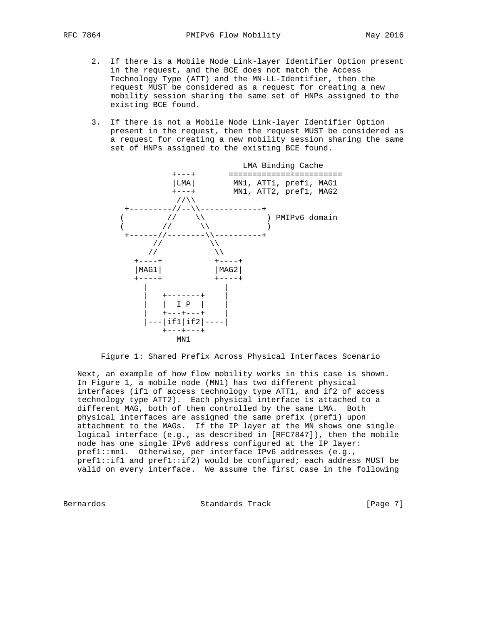- 2. If there is a Mobile Node Link-layer Identifier Option present in the request, and the BCE does not match the Access Technology Type (ATT) and the MN-LL-Identifier, then the request MUST be considered as a request for creating a new mobility session sharing the same set of HNPs assigned to the existing BCE found.
- 3. If there is not a Mobile Node Link-layer Identifier Option present in the request, then the request MUST be considered as a request for creating a new mobility session sharing the same set of HNPs assigned to the existing BCE found.



Figure 1: Shared Prefix Across Physical Interfaces Scenario

 Next, an example of how flow mobility works in this case is shown. In Figure 1, a mobile node (MN1) has two different physical interfaces (if1 of access technology type ATT1, and if2 of access technology type ATT2). Each physical interface is attached to a different MAG, both of them controlled by the same LMA. Both physical interfaces are assigned the same prefix (pref1) upon attachment to the MAGs. If the IP layer at the MN shows one single logical interface (e.g., as described in [RFC7847]), then the mobile node has one single IPv6 address configured at the IP layer: pref1::mn1. Otherwise, per interface IPv6 addresses (e.g., pref1::if1 and pref1::if2) would be configured; each address MUST be valid on every interface. We assume the first case in the following

Bernardos Standards Track [Page 7]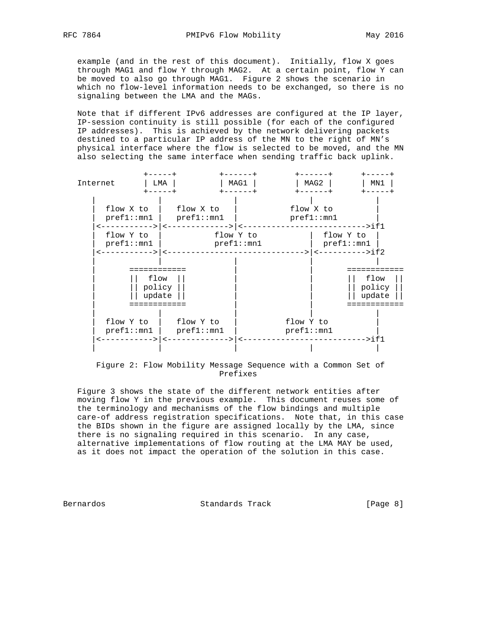example (and in the rest of this document). Initially, flow X goes through MAG1 and flow Y through MAG2. At a certain point, flow Y can be moved to also go through MAG1. Figure 2 shows the scenario in which no flow-level information needs to be exchanged, so there is no signaling between the LMA and the MAGs.

 Note that if different IPv6 addresses are configured at the IP layer, IP-session continuity is still possible (for each of the configured IP addresses). This is achieved by the network delivering packets destined to a particular IP address of the MN to the right of MN's physical interface where the flow is selected to be moved, and the MN also selecting the same interface when sending traffic back uplink.



 Figure 2: Flow Mobility Message Sequence with a Common Set of Prefixes

 Figure 3 shows the state of the different network entities after moving flow Y in the previous example. This document reuses some of the terminology and mechanisms of the flow bindings and multiple care-of address registration specifications. Note that, in this case the BIDs shown in the figure are assigned locally by the LMA, since there is no signaling required in this scenario. In any case, alternative implementations of flow routing at the LMA MAY be used, as it does not impact the operation of the solution in this case.

Bernardos Standards Track [Page 8]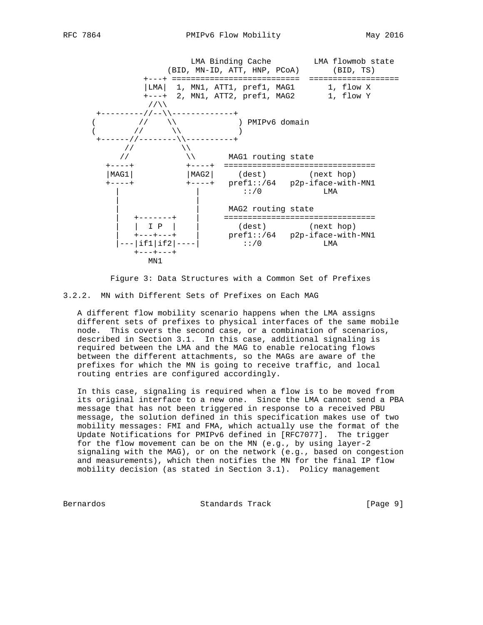

Figure 3: Data Structures with a Common Set of Prefixes

3.2.2. MN with Different Sets of Prefixes on Each MAG

 A different flow mobility scenario happens when the LMA assigns different sets of prefixes to physical interfaces of the same mobile node. This covers the second case, or a combination of scenarios, described in Section 3.1. In this case, additional signaling is required between the LMA and the MAG to enable relocating flows between the different attachments, so the MAGs are aware of the prefixes for which the MN is going to receive traffic, and local routing entries are configured accordingly.

 In this case, signaling is required when a flow is to be moved from its original interface to a new one. Since the LMA cannot send a PBA message that has not been triggered in response to a received PBU message, the solution defined in this specification makes use of two mobility messages: FMI and FMA, which actually use the format of the Update Notifications for PMIPv6 defined in [RFC7077]. The trigger for the flow movement can be on the MN (e.g., by using layer-2 signaling with the MAG), or on the network (e.g., based on congestion and measurements), which then notifies the MN for the final IP flow mobility decision (as stated in Section 3.1). Policy management

Bernardos Standards Track [Page 9]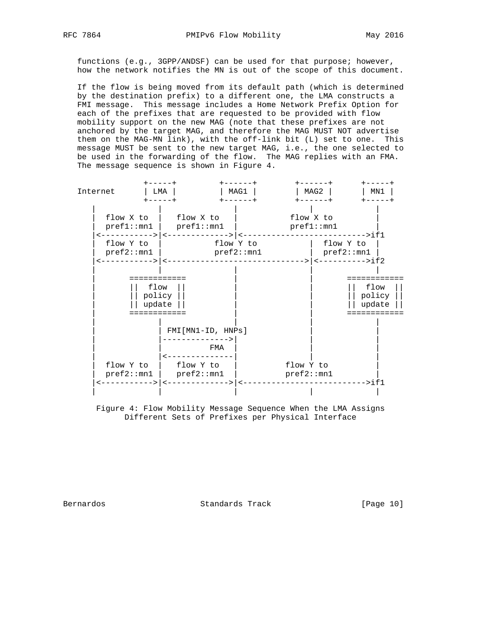functions (e.g., 3GPP/ANDSF) can be used for that purpose; however, how the network notifies the MN is out of the scope of this document.

 If the flow is being moved from its default path (which is determined by the destination prefix) to a different one, the LMA constructs a FMI message. This message includes a Home Network Prefix Option for each of the prefixes that are requested to be provided with flow mobility support on the new MAG (note that these prefixes are not anchored by the target MAG, and therefore the MAG MUST NOT advertise them on the MAG-MN link), with the off-link bit (L) set to one. This message MUST be sent to the new target MAG, i.e., the one selected to be used in the forwarding of the flow. The MAG replies with an FMA. The message sequence is shown in Figure 4.



 Figure 4: Flow Mobility Message Sequence When the LMA Assigns Different Sets of Prefixes per Physical Interface

Bernardos Standards Track [Page 10]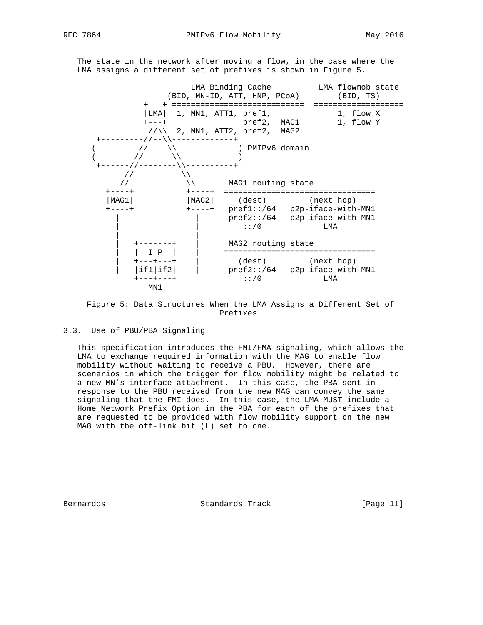The state in the network after moving a flow, in the case where the LMA assigns a different set of prefixes is shown in Figure 5.



 Figure 5: Data Structures When the LMA Assigns a Different Set of Prefixes

#### 3.3. Use of PBU/PBA Signaling

 This specification introduces the FMI/FMA signaling, which allows the LMA to exchange required information with the MAG to enable flow mobility without waiting to receive a PBU. However, there are scenarios in which the trigger for flow mobility might be related to a new MN's interface attachment. In this case, the PBA sent in response to the PBU received from the new MAG can convey the same signaling that the FMI does. In this case, the LMA MUST include a Home Network Prefix Option in the PBA for each of the prefixes that are requested to be provided with flow mobility support on the new MAG with the off-link bit (L) set to one.

Bernardos Standards Track [Page 11]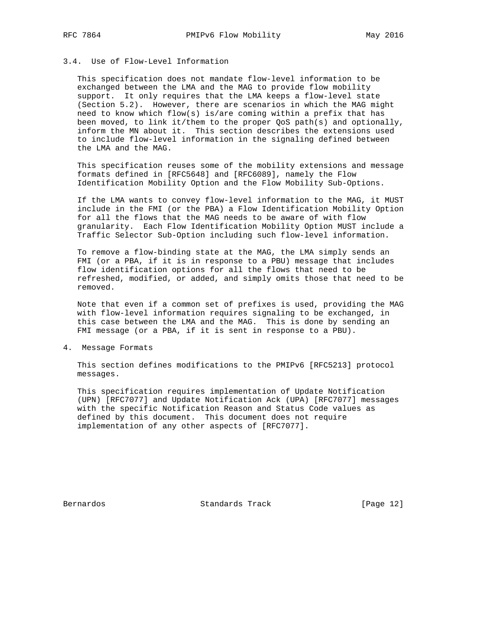# 3.4. Use of Flow-Level Information

 This specification does not mandate flow-level information to be exchanged between the LMA and the MAG to provide flow mobility support. It only requires that the LMA keeps a flow-level state (Section 5.2). However, there are scenarios in which the MAG might need to know which flow(s) is/are coming within a prefix that has been moved, to link it/them to the proper QoS path(s) and optionally, inform the MN about it. This section describes the extensions used to include flow-level information in the signaling defined between the LMA and the MAG.

 This specification reuses some of the mobility extensions and message formats defined in [RFC5648] and [RFC6089], namely the Flow Identification Mobility Option and the Flow Mobility Sub-Options.

 If the LMA wants to convey flow-level information to the MAG, it MUST include in the FMI (or the PBA) a Flow Identification Mobility Option for all the flows that the MAG needs to be aware of with flow granularity. Each Flow Identification Mobility Option MUST include a Traffic Selector Sub-Option including such flow-level information.

 To remove a flow-binding state at the MAG, the LMA simply sends an FMI (or a PBA, if it is in response to a PBU) message that includes flow identification options for all the flows that need to be refreshed, modified, or added, and simply omits those that need to be removed.

 Note that even if a common set of prefixes is used, providing the MAG with flow-level information requires signaling to be exchanged, in this case between the LMA and the MAG. This is done by sending an FMI message (or a PBA, if it is sent in response to a PBU).

4. Message Formats

 This section defines modifications to the PMIPv6 [RFC5213] protocol messages.

 This specification requires implementation of Update Notification (UPN) [RFC7077] and Update Notification Ack (UPA) [RFC7077] messages with the specific Notification Reason and Status Code values as defined by this document. This document does not require implementation of any other aspects of [RFC7077].

Bernardos Standards Track [Page 12]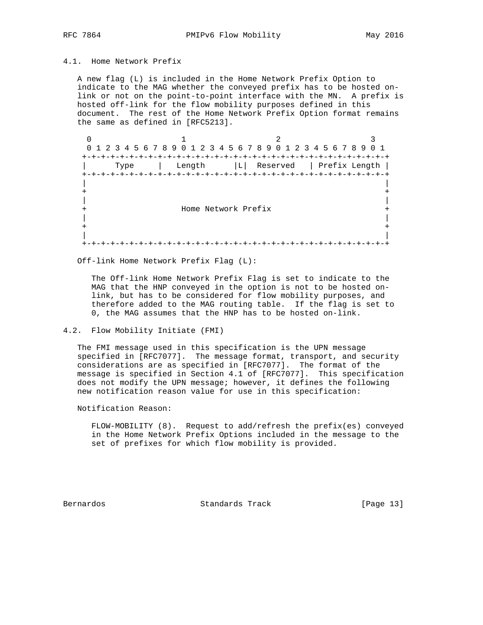## 4.1. Home Network Prefix

 A new flag (L) is included in the Home Network Prefix Option to indicate to the MAG whether the conveyed prefix has to be hosted on link or not on the point-to-point interface with the MN. A prefix is hosted off-link for the flow mobility purposes defined in this document. The rest of the Home Network Prefix Option format remains the same as defined in [RFC5213].

 $0$  1 2 3 0 1 2 3 4 5 6 7 8 9 0 1 2 3 4 5 6 7 8 9 0 1 2 3 4 5 6 7 8 9 0 1 +-+-+-+-+-+-+-+-+-+-+-+-+-+-+-+-+-+-+-+-+-+-+-+-+-+-+-+-+-+-+-+-+ | Type | Length |L| Reserved | Prefix Length | +-+-+-+-+-+-+-+-+-+-+-+-+-+-+-+-+-+-+-+-+-+-+-+-+-+-+-+-+-+-+-+-+ | | + + | | + Home Network Prefix + | | + + | | +-+-+-+-+-+-+-+-+-+-+-+-+-+-+-+-+-+-+-+-+-+-+-+-+-+-+-+-+-+-+-+-+

Off-link Home Network Prefix Flag (L):

 The Off-link Home Network Prefix Flag is set to indicate to the MAG that the HNP conveyed in the option is not to be hosted on link, but has to be considered for flow mobility purposes, and therefore added to the MAG routing table. If the flag is set to 0, the MAG assumes that the HNP has to be hosted on-link.

#### 4.2. Flow Mobility Initiate (FMI)

 The FMI message used in this specification is the UPN message specified in [RFC7077]. The message format, transport, and security considerations are as specified in [RFC7077]. The format of the message is specified in Section 4.1 of [RFC7077]. This specification does not modify the UPN message; however, it defines the following new notification reason value for use in this specification:

Notification Reason:

 FLOW-MOBILITY (8). Request to add/refresh the prefix(es) conveyed in the Home Network Prefix Options included in the message to the set of prefixes for which flow mobility is provided.

Bernardos Standards Track [Page 13]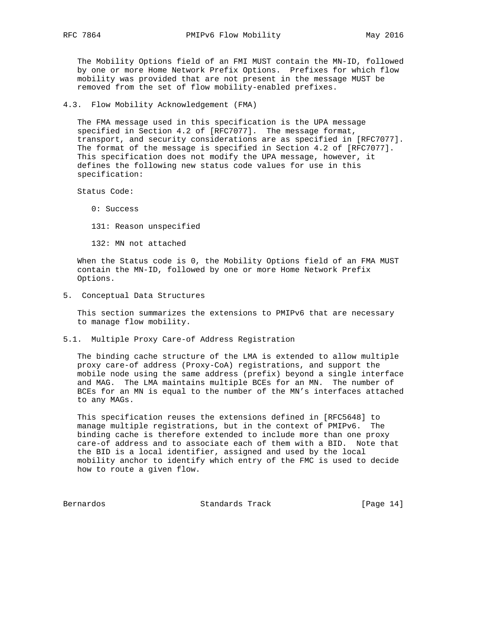The Mobility Options field of an FMI MUST contain the MN-ID, followed by one or more Home Network Prefix Options. Prefixes for which flow mobility was provided that are not present in the message MUST be removed from the set of flow mobility-enabled prefixes.

### 4.3. Flow Mobility Acknowledgement (FMA)

 The FMA message used in this specification is the UPA message specified in Section 4.2 of [RFC7077]. The message format, transport, and security considerations are as specified in [RFC7077]. The format of the message is specified in Section 4.2 of [RFC7077]. This specification does not modify the UPA message, however, it defines the following new status code values for use in this specification:

Status Code:

0: Success

131: Reason unspecified

132: MN not attached

 When the Status code is 0, the Mobility Options field of an FMA MUST contain the MN-ID, followed by one or more Home Network Prefix Options.

5. Conceptual Data Structures

 This section summarizes the extensions to PMIPv6 that are necessary to manage flow mobility.

5.1. Multiple Proxy Care-of Address Registration

 The binding cache structure of the LMA is extended to allow multiple proxy care-of address (Proxy-CoA) registrations, and support the mobile node using the same address (prefix) beyond a single interface and MAG. The LMA maintains multiple BCEs for an MN. The number of BCEs for an MN is equal to the number of the MN's interfaces attached to any MAGs.

 This specification reuses the extensions defined in [RFC5648] to manage multiple registrations, but in the context of PMIPv6. The binding cache is therefore extended to include more than one proxy care-of address and to associate each of them with a BID. Note that the BID is a local identifier, assigned and used by the local mobility anchor to identify which entry of the FMC is used to decide how to route a given flow.

Bernardos Standards Track [Page 14]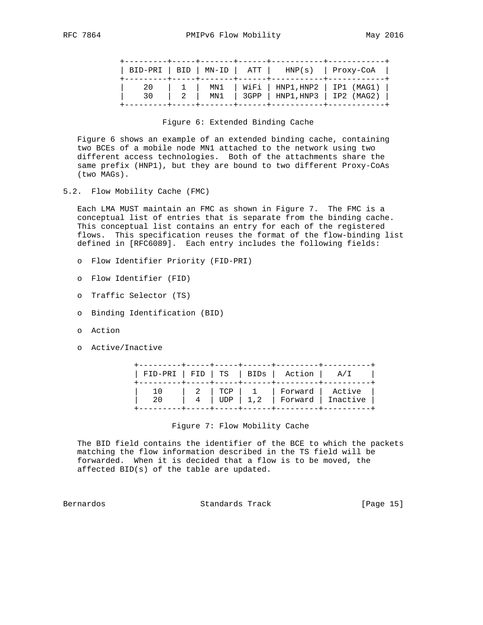| BID-PRI   BID   MN-ID   ATT   HNP(s)   Proxy-CoA |                                                                                                |  |
|--------------------------------------------------|------------------------------------------------------------------------------------------------|--|
|                                                  | 20   1   MN1   WiFi   HNP1,HNP2   IP1 (MAG1)  <br>30   2   MN1   3GPP   HNP1,HNP3   IP2 (MAG2) |  |

### Figure 6: Extended Binding Cache

 Figure 6 shows an example of an extended binding cache, containing two BCEs of a mobile node MN1 attached to the network using two different access technologies. Both of the attachments share the same prefix (HNP1), but they are bound to two different Proxy-CoAs (two MAGs).

5.2. Flow Mobility Cache (FMC)

 Each LMA MUST maintain an FMC as shown in Figure 7. The FMC is a conceptual list of entries that is separate from the binding cache. This conceptual list contains an entry for each of the registered flows. This specification reuses the format of the flow-binding list defined in [RFC6089]. Each entry includes the following fields:

- o Flow Identifier Priority (FID-PRI)
- o Flow Identifier (FID)
- o Traffic Selector (TS)
- o Binding Identification (BID)
- o Action
- o Active/Inactive

|  | FID-PRI   FID   TS   BIDs   Action   A/I                                       |  |
|--|--------------------------------------------------------------------------------|--|
|  | 10   2   TCP   1   Forward   Active<br>20   4   UDP   1,2   Forward   Inactive |  |

#### Figure 7: Flow Mobility Cache

 The BID field contains the identifier of the BCE to which the packets matching the flow information described in the TS field will be forwarded. When it is decided that a flow is to be moved, the affected BID(s) of the table are updated.

Bernardos Standards Track [Page 15]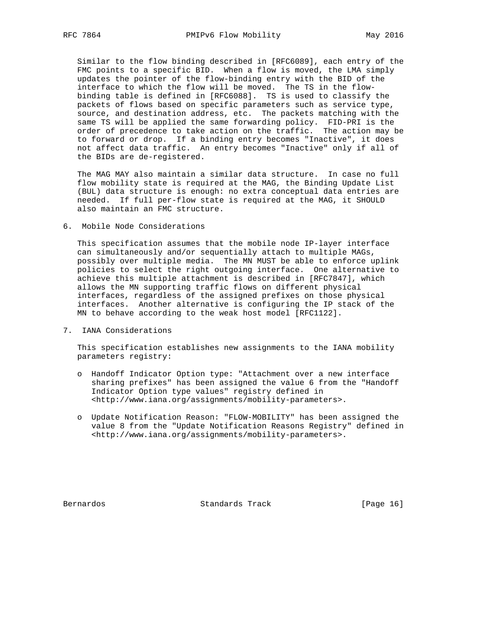Similar to the flow binding described in [RFC6089], each entry of the FMC points to a specific BID. When a flow is moved, the LMA simply updates the pointer of the flow-binding entry with the BID of the interface to which the flow will be moved. The TS in the flow binding table is defined in [RFC6088]. TS is used to classify the packets of flows based on specific parameters such as service type, source, and destination address, etc. The packets matching with the same TS will be applied the same forwarding policy. FID-PRI is the order of precedence to take action on the traffic. The action may be to forward or drop. If a binding entry becomes "Inactive", it does not affect data traffic. An entry becomes "Inactive" only if all of the BIDs are de-registered.

 The MAG MAY also maintain a similar data structure. In case no full flow mobility state is required at the MAG, the Binding Update List (BUL) data structure is enough: no extra conceptual data entries are needed. If full per-flow state is required at the MAG, it SHOULD also maintain an FMC structure.

6. Mobile Node Considerations

 This specification assumes that the mobile node IP-layer interface can simultaneously and/or sequentially attach to multiple MAGs, possibly over multiple media. The MN MUST be able to enforce uplink policies to select the right outgoing interface. One alternative to achieve this multiple attachment is described in [RFC7847], which allows the MN supporting traffic flows on different physical interfaces, regardless of the assigned prefixes on those physical interfaces. Another alternative is configuring the IP stack of the MN to behave according to the weak host model [RFC1122].

7. IANA Considerations

 This specification establishes new assignments to the IANA mobility parameters registry:

- o Handoff Indicator Option type: "Attachment over a new interface sharing prefixes" has been assigned the value 6 from the "Handoff Indicator Option type values" registry defined in <http://www.iana.org/assignments/mobility-parameters>.
- o Update Notification Reason: "FLOW-MOBILITY" has been assigned the value 8 from the "Update Notification Reasons Registry" defined in <http://www.iana.org/assignments/mobility-parameters>.

Bernardos Standards Track [Page 16]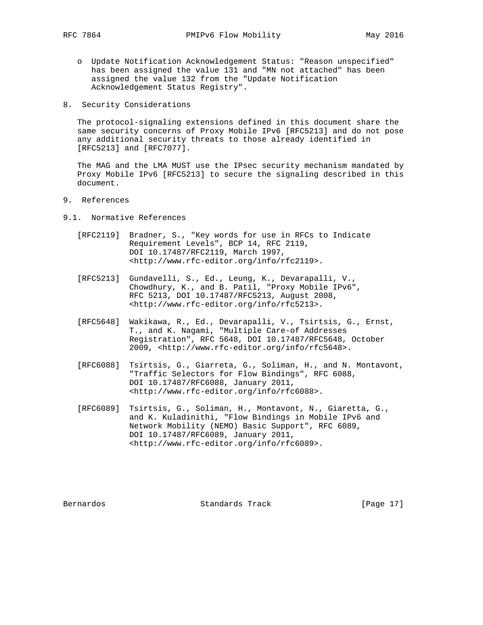- o Update Notification Acknowledgement Status: "Reason unspecified" has been assigned the value 131 and "MN not attached" has been assigned the value 132 from the "Update Notification Acknowledgement Status Registry".
- 8. Security Considerations

 The protocol-signaling extensions defined in this document share the same security concerns of Proxy Mobile IPv6 [RFC5213] and do not pose any additional security threats to those already identified in [RFC5213] and [RFC7077].

 The MAG and the LMA MUST use the IPsec security mechanism mandated by Proxy Mobile IPv6 [RFC5213] to secure the signaling described in this document.

- 9. References
- 9.1. Normative References
	- [RFC2119] Bradner, S., "Key words for use in RFCs to Indicate Requirement Levels", BCP 14, RFC 2119, DOI 10.17487/RFC2119, March 1997, <http://www.rfc-editor.org/info/rfc2119>.
	- [RFC5213] Gundavelli, S., Ed., Leung, K., Devarapalli, V., Chowdhury, K., and B. Patil, "Proxy Mobile IPv6", RFC 5213, DOI 10.17487/RFC5213, August 2008, <http://www.rfc-editor.org/info/rfc5213>.
	- [RFC5648] Wakikawa, R., Ed., Devarapalli, V., Tsirtsis, G., Ernst, T., and K. Nagami, "Multiple Care-of Addresses Registration", RFC 5648, DOI 10.17487/RFC5648, October 2009, <http://www.rfc-editor.org/info/rfc5648>.
	- [RFC6088] Tsirtsis, G., Giarreta, G., Soliman, H., and N. Montavont, "Traffic Selectors for Flow Bindings", RFC 6088, DOI 10.17487/RFC6088, January 2011, <http://www.rfc-editor.org/info/rfc6088>.
	- [RFC6089] Tsirtsis, G., Soliman, H., Montavont, N., Giaretta, G., and K. Kuladinithi, "Flow Bindings in Mobile IPv6 and Network Mobility (NEMO) Basic Support", RFC 6089, DOI 10.17487/RFC6089, January 2011, <http://www.rfc-editor.org/info/rfc6089>.

Bernardos Standards Track [Page 17]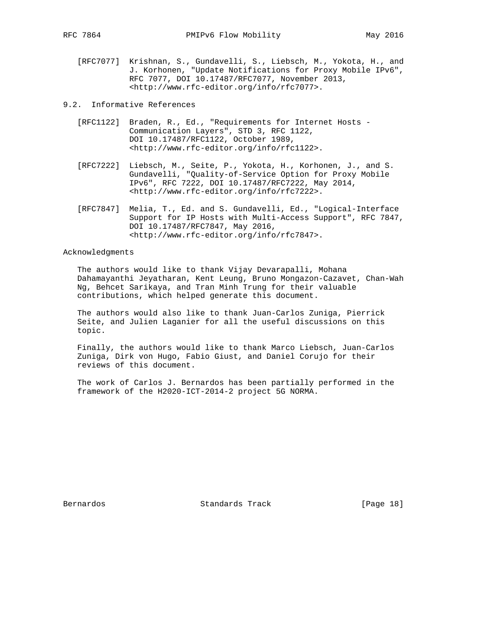[RFC7077] Krishnan, S., Gundavelli, S., Liebsch, M., Yokota, H., and J. Korhonen, "Update Notifications for Proxy Mobile IPv6", RFC 7077, DOI 10.17487/RFC7077, November 2013, <http://www.rfc-editor.org/info/rfc7077>.

9.2. Informative References

- [RFC1122] Braden, R., Ed., "Requirements for Internet Hosts Communication Layers", STD 3, RFC 1122, DOI 10.17487/RFC1122, October 1989, <http://www.rfc-editor.org/info/rfc1122>.
- [RFC7222] Liebsch, M., Seite, P., Yokota, H., Korhonen, J., and S. Gundavelli, "Quality-of-Service Option for Proxy Mobile IPv6", RFC 7222, DOI 10.17487/RFC7222, May 2014, <http://www.rfc-editor.org/info/rfc7222>.
- [RFC7847] Melia, T., Ed. and S. Gundavelli, Ed., "Logical-Interface Support for IP Hosts with Multi-Access Support", RFC 7847, DOI 10.17487/RFC7847, May 2016, <http://www.rfc-editor.org/info/rfc7847>.

Acknowledgments

 The authors would like to thank Vijay Devarapalli, Mohana Dahamayanthi Jeyatharan, Kent Leung, Bruno Mongazon-Cazavet, Chan-Wah Ng, Behcet Sarikaya, and Tran Minh Trung for their valuable contributions, which helped generate this document.

 The authors would also like to thank Juan-Carlos Zuniga, Pierrick Seite, and Julien Laganier for all the useful discussions on this topic.

 Finally, the authors would like to thank Marco Liebsch, Juan-Carlos Zuniga, Dirk von Hugo, Fabio Giust, and Daniel Corujo for their reviews of this document.

 The work of Carlos J. Bernardos has been partially performed in the framework of the H2020-ICT-2014-2 project 5G NORMA.

Bernardos Standards Track [Page 18]